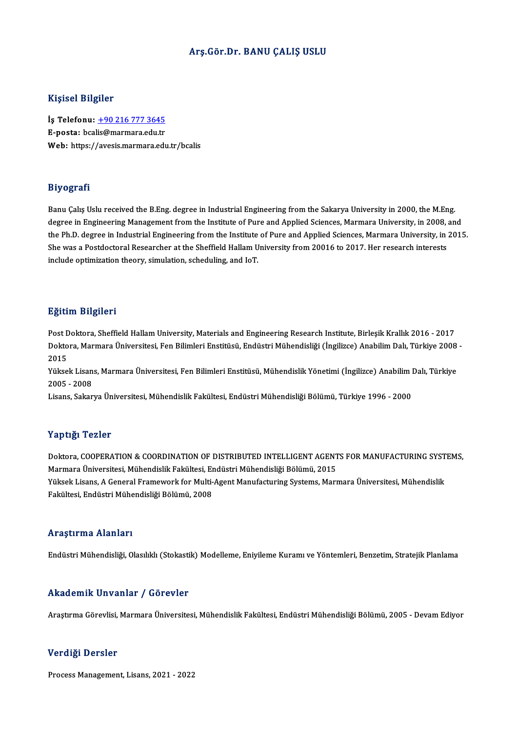#### Arş.Gör.Dr. BANU ÇALIŞ USLU

#### Kişisel Bilgiler

Kişisel Bilgiler<br>İş Telefonu: <u>+90 216 777 3645</u><br>E nosta: bsəlis@mərmərə.edu.tr 11191001 Dugnot<br>İş Telefonu: <u>+90 216 777 3645</u><br>E-posta: bca[lis@marmara.edu.tr](tel:+90 216 777 3645) E-posta: bcalis@marmara.edu.tr<br>Web: https://avesis.marmara.edu.tr/bcalis

#### Biyografi

Banu Çalış Uslu received the B.Eng. degree in Industrial Engineering from the Sakarya University in 2000, the M.Eng. degree in Engineerived the B.Eng. degree in Industrial Engineering from the Sakarya University in 2000, the M.Eng.<br>degree in Engineering Management from the Institute of Pure and Applied Sciences, Marmara University, in 20 Banu Çalış Uslu received the B.Eng. degree in Industrial Engineering from the Sakarya University in 2000, the M.Eng.<br>degree in Engineering Management from the Institute of Pure and Applied Sciences, Marmara University, in degree in Engineering Management from the Institute of Pure and Applied Sciences, Marmara University, in 2008,<br>the Ph.D. degree in Industrial Engineering from the Institute of Pure and Applied Sciences, Marmara University, the Ph.D. degree in Industrial Engineering from the Institute<br>She was a Postdoctoral Researcher at the Sheffield Hallam U<br>include optimization theory, simulation, scheduling, and IoT.

#### Eğitim Bilgileri

**Eğitim Bilgileri**<br>Post Doktora, Sheffield Hallam University, Materials and Engineering Research Institute, Birleşik Krallık 2016 - 2017<br>Polttora Marmara Üniversitesi, Ean Bilimleri Enstitüsü, Endüstri Mühandisliği (İnsili Doktora, Marmara Üniversitesi, Fen Bilimleri Enstitüsü, Endüstri Mühendisliği (İngilizce) Anabilim Dalı, Türkiye 2008 -<br>2015 Post <mark>L</mark><br>Dokto<br>2015<br><sup>Vülsse</sup> Doktora, Marmara Üniversitesi, Fen Bilimleri Enstitüsü, Endüstri Mühendisliği (İngilizce) Anabilim Dalı, Türkiye 2008<br>2015<br>Yüksek Lisans, Marmara Üniversitesi, Fen Bilimleri Enstitüsü, Mühendislik Yönetimi (İngilizce) Anab

2015<br>Yüksek Lisan<br>2005 - 2008<br>Lisans, Sakar Yüksek Lisans, Marmara Üniversitesi, Fen Bilimleri Enstitüsü, Mühendislik Yönetimi (İngilizce) Anabilim I<br>2005 - 2008<br>Lisans, Sakarya Üniversitesi, Mühendislik Fakültesi, Endüstri Mühendisliği Bölümü, Türkiye 1996 - 2000

Lisans, Sakarya Üniversitesi, Mühendislik Fakültesi, Endüstri Mühendisliği Bölümü, Türkiye 1996 - 2000<br>Yaptığı Tezler

Yaptığı Tezler<br>Doktora, COOPERATION & COORDINATION OF DISTRIBUTED INTELLIGENT AGENTS FOR MANUFACTURING SYSTEMS,<br>Marmare Üniversitesi Mühandislik Fakültesi Endüstri Mühandisliği Bölümü, 2015 Marmara Tomor<br>Doktora, COOPERATION & COORDINATION OF DISTRIBUTED INTELLIGENT AGENT<br>Marmara Üniversitesi, Mühendislik Fakültesi, Endüstri Mühendisliği Bölümü, 2015<br>Vülteek Lieens, A Conenal Enemewerk for Multi Agent Manufec Doktora, COOPERATION & COORDINATION OF DISTRIBUTED INTELLIGENT AGENTS FOR MANUFACTURING SYST<br>Marmara Üniversitesi, Mühendislik Fakültesi, Endüstri Mühendisliği Bölümü, 2015<br>Yüksek Lisans, A General Framework for Multi-Agen Marmara Üniversitesi, Mühendislik Fakültesi, Eı<br>Yüksek Lisans, A General Framework for Multi-<br>Fakültesi, Endüstri Mühendisliği Bölümü, 2008 Fakültesi, Endüstri Mühendisliği Bölümü, 2008<br>Araştırma Alanları

Endüstri Mühendisliği, Olasılıklı (Stokastik) Modelleme, Eniyileme Kuramı ve Yöntemleri, Benzetim, Stratejik Planlama

#### Akademik Unvanlar / Görevler

Araştırma Görevlisi, Marmara Üniversitesi, Mühendislik Fakültesi, Endüstri Mühendisliği Bölümü, 2005 - Devam Ediyor

#### Verdiği Dersler

Process Management, Lisans, 2021 - 2022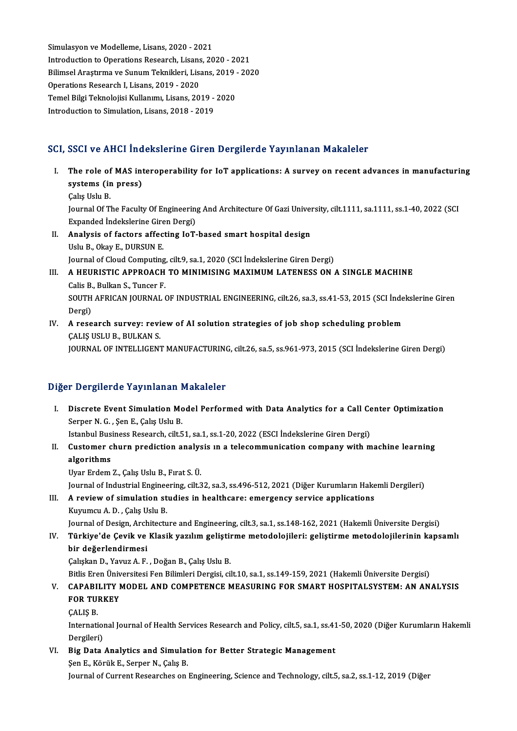Simulasyon ve Modelleme, Lisans, 2020 - 2021 Simulasyon ve Modelleme, Lisans, 2020 - 2021<br>Introduction to Operations Research, Lisans, 2020 - 2021<br>Bilimeel Arestume ve Sunum Telmikleri, Lisans, 2019 - 202 Bilimsel Araştırma ve Sunum Teknikleri, Lisans, 2019 - 2020<br>Operations Research I. Lisans. 2019 - 2020 Introduction to Operations Research, Lisans<br>Bilimsel Araştırma ve Sunum Teknikleri, Lisans, 2019<br>2020 - Temel Bilgi Telmelejisi Kullanımı, Lisans, 20 Bilimsel Araştırma ve Sunum Teknikleri, Lisans, 2019 -<br>Operations Research I, Lisans, 2019 - 2020<br>Temel Bilgi Teknolojisi Kullanımı, Lisans, 2019 - 2020<br>Introduction to Simulation Lisans, 2018 - 2019 Operations Research I, Lisans, 2019 - 2020<br>Temel Bilgi Teknolojisi Kullanımı, Lisans, 2019 -<br>Introduction to Simulation, Lisans, 2018 - 2019

# Introduction to Simulation, Lisans, 2018 - 2019<br>SCI, SSCI ve AHCI İndekslerine Giren Dergilerde Yayınlanan Makaleler

- CI, SSCI ve AHCI İndekslerine Giren Dergilerde Yayınlanan Makaleler<br>I. The role of MAS interoperability for IoT applications: A survey on recent advances in manufacturing<br>systems (in press) systems (in press)<br>The role of MAS integrated<br>Solis Helv P The role of<br>systems (ir<br>Çalış Uslu B.<br>Journal Of T s**ystems (in press)**<br>Çalış Uslu B.<br>Journal Of The Faculty Of Engineering And Architecture Of Gazi University, cilt.1111, sa.1111, ss.1-40, 2022 (SCI<br>Evnanded İndekslerine Ciren Dergi) Calış Uslu B.<br>Journal Of The Faculty Of Engineering<br>Expanded İndekslerine Giren Dergi)<br>Analysis of fastars affasting LaT Expanded Indekslerine Giren Dergi)
- II. Analysis of factors affecting IoT-based smart hospital design<br>Uslu B., Okay E., DURSUN E. Analysis of factors affecting IoT-based smart hospital design<br>Uslu B., Okay E., DURSUN E.<br>Journal of Cloud Computing, cilt.9, sa.1, 2020 (SCI İndekslerine Giren Dergi)<br>A HEURISTIC APPROACH TO MINIMISING MAYIMIM LATENESS ON

### III. A HEURISTIC APPROACH TO MINIMISING MAXIMUM LATENESS ON A SINGLE MACHINE Calis B. Bulkan S. Tuncer F. Journal of Cloud Computing<br>A HEURISTIC APPROACH<br>Calis B., Bulkan S., Tuncer F.<br>SOUTH AERICAN IOURNAL ( A HEURISTIC APPROACH TO MINIMISING MAXIMUM LATENESS ON A SINGLE MACHINE<br>Calis B., Bulkan S., Tuncer F.<br>SOUTH AFRICAN JOURNAL OF INDUSTRIAL ENGINEERING, cilt.26, sa.3, ss.41-53, 2015 (SCI İndekslerine Giren<br>Persi) Calis B<br>SOUTH<br>Dergi)<br>A rese SOUTH AFRICAN JOURNAL OF INDUSTRIAL ENGINEERING, cilt.26, sa.3, ss.41-53, 2015 (SCI inde<br>Dergi)<br>IV. A research survey: review of AI solution strategies of job shop scheduling problem<br>CALIS USUE PULYANS

Dergi)<br><mark>A research survey: revi</mark><br>ÇALIŞ USLU B., BULKAN S.<br>IQUPNAL QE INTELLICENT ÇALIŞ USLU B., BULKAN S.<br>JOURNAL OF INTELLIGENT MANUFACTURING, cilt.26, sa.5, ss.961-973, 2015 (SCI İndekslerine Giren Dergi)

#### Diğer Dergilerde Yayınlanan Makaleler

I. Discrete Event Simulation Model Performed with Data Analytics for a Call Center Optimization Serper N.G., Şen E., Çalış Uslu B.

Istanbul Business Research, cilt.51, sa.1, ss.1-20, 2022 (ESCI İndekslerine Giren Dergi)

## Serper N. G. , Şen E., Çalış Uslu B.<br>Istanbul Business Research, cilt.51, sa.1, ss.1-20, 2022 (ESCI İndekslerine Giren Dergi)<br>II. Customer churn prediction analysis ın a telecommunication company with machine learning<br> Istanbul Bus<br>Customer c<br>algorithms<br><sup>Hyon Endom</sup> Customer churn prediction analys<br>algorithms<br>Uyar Erdem Z., Çalış Uslu B., Fırat S. Ü.<br>Journal of Industrial Engineering, silt 3 <mark>algorithms</mark><br>Uyar Erdem Z., Çalış Uslu B., Fırat S. Ü.<br>Journal of Industrial Engineering, cilt.32, sa.3, ss.496-512, 2021 (Diğer Kurumların Hakemli Dergileri)

## Uyar Erdem Z., Çalış Uslu B., Fırat S. Ü.<br>Journal of Industrial Engineering, cilt.32, sa.3, ss.496-512, 2021 (Diğer Kurumların Hake<br>III. A review of simulation studies in healthcare: emergency service applications<br>Kumumcu Journal of Industrial Enginee<br>A review of simulation st<br>Kuyumcu A. D. , Çalış Uslu B.<br>Journal of Dosian, Architectu A review of simulation studies in healthcare: emergency service applications<br>Kuyumcu A. D. , Çalış Uslu B.<br>Journal of Design, Architecture and Engineering, cilt.3, sa.1, ss.148-162, 2021 (Hakemli Üniversite Dergisi)<br>Türkiy

## Kuyumcu A. D. , Çalış Uslu B.<br>Journal of Design, Architecture and Engineering, cilt.3, sa.1, ss.148-162, 2021 (Hakemli Üniversite Dergisi)<br>IV. Türkiye'de Çevik ve Klasik yazılım geliştirme metodolojileri: geliştirme me Journal of Design, Arch<br><mark>Türkiye'de Çevik ve</mark><br>bir değerlendirmesi<br>Cakakan D. Yayuz A. E Türkiye'de Çevik ve Klasik yazılım gelişti<mark>ı</mark><br>bir değerlendirmesi<br>Çalışkan D., Yavuz A. F. , Doğan B., Çalış Uslu B.<br>Bitlis Enen Üniversitesi Fen Bilimleri Dergisi, sil bir değerlendirmesi<br>Çalışkan D., Yavuz A. F. , Doğan B., Çalış Uslu B.<br>Bitlis Eren Üniversitesi Fen Bilimleri Dergisi, cilt.10, sa.1, ss.149-159, 2021 (Hakemli Üniversite Dergisi)<br>CARARILL'I'V MODEL, AND COMPETENCE MEASURI

## Çalışkan D., Yavuz A. F. , Doğan B., Çalış Uslu B.<br>Bitlis Eren Üniversitesi Fen Bilimleri Dergisi, cilt.10, sa.1, ss.149-159, 2021 (Hakemli Üniversite Dergisi)<br>V. CAPABILITY MODEL AND COMPETENCE MEASURING FOR SMART HOS Bitlis Eren Üniv<br>CAPABILITY I<br>FOR TURKEY<br>CALIS B CAPABI<br>FOR TUI<br>ÇALIŞ B.

FOR TURKEY<br>ÇALIŞ B.<br>International Journal of Health Services Research and Policy, cilt.5, sa.1, ss.41-50, 2020 (Diğer Kurumların Hakemli CALIS B.<br>Internation<br>Dergileri)<br>Big Data International Journal of Health Services Research and Policy, cilt.5, sa.1, ss.41<br>Dergileri)<br>VI. Big Data Analytics and Simulation for Better Strategic Management<br>San E. Kärül: E. Sannar N. Galia B.

Dergileri)<br>Big Data Analytics and Simulat<br>Şen E., Körük E., Serper N., Çalış B.<br>Journal of Curront Besearshes en Şen E., Körük E., Serper N., Çalış B.<br>Journal of Current Researches on Engineering, Science and Technology, cilt.5, sa.2, ss.1-12, 2019 (Diğer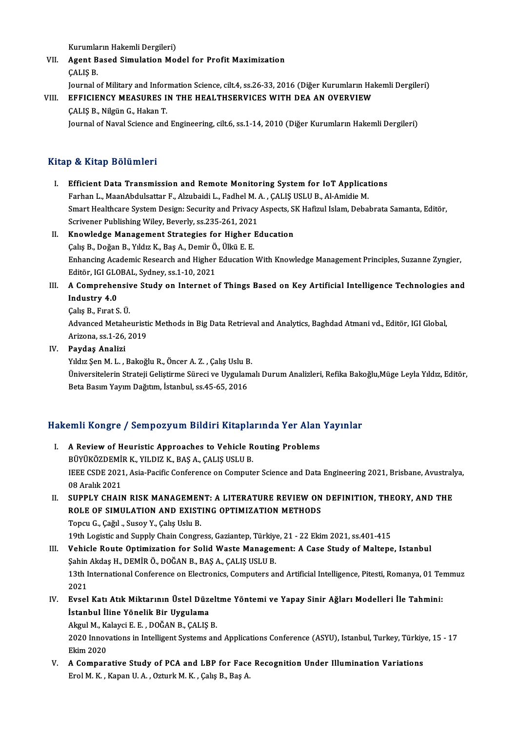Kurumların Hakemli Dergileri)<br>Agent Based Simulation Me

VII. Agent Based Simulation Model for Profit Maximization CALIS B. Kurumla<br>**Agent B<br>**ÇALIŞ B. Agent Based Simulation Model for Profit Maximization<br>ÇALIŞ B.<br>Journal of Military and Information Science, cilt.4, ss.26-33, 2016 (Diğer Kurumların Hakemli Dergileri)<br>ERRICIENCY MEASURES IN TUE UEAI TUSERVICES WITU DEA AN

## VIII. EFFICIENCY MEASURES IN THE HEALTHSERVICES WITH DEA AN OVERVIEW<br>CALIS B., Nilgün G., Hakan T. Journal of Military and Infor<br>EFFICIENCY MEASURES I<br>ÇALIŞ B., Nilgün G., Hakan T.<br>Journal of Naval Science and

Journal of Naval Science and Engineering, cilt.6, ss.1-14, 2010 (Diğer Kurumların Hakemli Dergileri)

### Kitap & Kitap Bölümleri

- Itap & Kitap Bölümleri<br>I. Efficient Data Transmission and Remote Monitoring System for IoT Applications<br>Ferban L. MaanAbdulasttar E. Algubaidi L. Fedbal M. A. CALIS US U.P. Al Amidie M Farhan L., MaanAbdulsattar and Remote Monitoring System for IoT Applicat<br>Farhan L., MaanAbdulsattar F., Alzubaidi L., Fadhel M. A. , ÇALIŞ USLU B., Al-Amidie M.<br>Smart Heeltheene System Design: Segurity and Priyagy Aspects, Smart Healthcare System Design: Security and Privacy Aspects, SK Hafizul Islam, Debabrata Samanta, Editör, Farhan L., MaanAbdulsattar F., Alzubaidi L., Fadhel M. A., CALIS USLU B., Al-Amidie M. Scrivener Publishing Wiley, Beverly, ss.235-261, 2021
- II. Knowledge Management Strategies for Higher Education Calis B., Doğan B., Yıldız K., Baş A., Demir Ö., Ülkü E. E. Knowledge Management Strategies for Higher Education<br>Çalış B., Doğan B., Yıldız K., Baş A., Demir Ö., Ülkü E. E.<br>Enhancing Academic Research and Higher Education With Knowledge Management Principles, Suzanne Zyngier,<br>Editë Calış B., Doğan B., Yıldız K., Baş A., Demir Ö.<br>Enhancing Academic Research and Higher<br>Editör, IGI GLOBAL, Sydney, ss.1-10, 2021<br>A Camprobansiya Study an Internat a Enhancing Academic Research and Higher Education With Knowledge Management Principles, Suzanne Zyngier,<br>Editör, IGI GLOBAL, Sydney, ss.1-10, 2021<br>III. A Comprehensive Study on Internet of Things Based on Key Artificial Int
- Editör, IGI GLC<br>A Compreher<br>Industry 4.0<br>Calis B. Errat S A Comprehensiy<br>Industry 4.0<br>Çalış B., Fırat S. Ü.<br>Advanced Metabe

I**ndustry 4.0**<br>Çalış B., Fırat S. Ü.<br>Advanced Metaheuristic Methods in Big Data Retrieval and Analytics, Baghdad Atmani vd., Editör, IGI Global,<br>Arirona, ss.1, 26, 2019 Çalış B., Fırat S. Ü.<br>Advanced Metaheuristi<br>Arizona, ss.1-26, 2019<br>Pavdas Analizi Arizona, ss. 1-26, 2019<br>IV. Paydaş Analizi

Arizona, ss.1-26, 2019<br><mark>Paydaş Analizi</mark><br>Yıldız Şen M. L. , Bakoğlu R., Öncer A. Z. , Çalış Uslu B.<br>Üniversitelerin Strateji Celistinme Sünesi ve Uvsulamı Üniversitelerin Strateji Geliştirme Süreci ve Uygulamalı Durum Analizleri, Refika Bakoğlu,Müge Leyla Yıldız, Editör,<br>Beta Basım Yayım Dağıtım, İstanbul, ss.45-65, 2016 Yıldız Şen M. L. , Bakoğlu R., Öncer A. Z. , Çalış Uslu B<br>Üniversitelerin Strateji Geliştirme Süreci ve Uygulan<br>Beta Basım Yayım Dağıtım, İstanbul, ss.45-65, 2016

# beta basım rayım bagitim, istanbul, ss.45-65, 2016<br>Hakemli Kongre / Sempozyum Bildiri Kitaplarında Yer Alan Yayınlar

- akemli Kongre / Sempozyum Bildiri Kitaplarında Yer Alan<br>I. A Review of Heuristic Approaches to Vehicle Routing Problems<br>PÜVÜKÖZDEMİR K. YU DIZ K. BAS A. GALIS USULR SINI KÖNGLE 7 SEMPOZYUM ZITUNI KRUPIU<br>A Review of Heuristic Approaches to Vehicle R<br>BÜYÜKÖZDEMİR K., YILDIZ K., BAŞ A., ÇALIŞ USLU B. I. A Review of Heuristic Approaches to Vehicle Routing Problems<br>BÜYÜKÖZDEMİR K., YILDIZ K., BAŞ A., ÇALIŞ USLU B.<br>IEEE CSDE 2021, Asia-Pacific Conference on Computer Science and Data Engineering 2021, Brisbane, Avustralya, BÜYÜKÖZDEMİ<br>IEEE CSDE 2021<br>08 Aralık 2021<br>SUPPL V CHAIL IEEE CSDE 2021, Asia-Pacific Conference on Computer Science and Data Engineering 2021, Brisbane, Avustral:<br>08 Aralık 2021<br>II. SUPPLY CHAIN RISK MANAGEMENT: A LITERATURE REVIEW ON DEFINITION, THEORY, AND THE<br>POLE OF SIMILI
- 08 Aralık 2021<br>SUPPLY CHAIN RISK MANAGEMENT: A LITERATURE REVIEW ON<br>ROLE OF SIMULATION AND EXISTING OPTIMIZATION METHODS<br>Tongy C. Coğul, Susov Y. Calis Halu B SUPPLY CHAIN RISK MANAGEMEN<br>ROLE OF SIMULATION AND EXIST<br>Topcu G., Çağıl ., Susoy Y., Çalış Uslu B.<br>19th Logistic and Sunnly Chain Congre ROLE OF SIMULATION AND EXISTING OPTIMIZATION METHODS<br>Topcu G., Çağıl ., Susoy Y., Çalış Uslu B.<br>19th Logistic and Supply Chain Congress, Gaziantep, Türkiye, 21 - 22 Ekim 2021, ss.401-415<br>Vobisla Boute Optimization for Soli

Topcu G., Çağıl ., Susoy Y., Çalış Uslu B.<br>19th Logistic and Supply Chain Congress, Gaziantep, Türkiye, 21 - 22 Ekim 2021, ss.401-415<br>III. Vehicle Route Optimization for Solid Waste Management: A Case Study of Maltepe, Ist 19th Logistic and Supply Chain Congress, Gaziantep, Türkiye<br>Vehicle Route Optimization for Solid Waste Managen<br>Şahin Akdaş H., DEMİR Ö., DOĞAN B., BAŞ A., ÇALIŞ USLU B.<br>12th International Conference on Flectronics, Compute

Vehicle Route Optimization for Solid Waste Management: A Case Study of Maltepe, Istanbul<br>Şahin Akdaş H., DEMİR Ö., DOĞAN B., BAŞ A., ÇALIŞ USLU B.<br>13th International Conference on Electronics, Computers and Artificial Inte Şahin<br>13th I<br>2021<br>Evaal 13th International Conference on Electronics, Computers and Artificial Intelligence, Pitesti, Romanya, 01 Ter<br>2021<br>IV. Evsel Katı Atık Miktarının Üstel Düzeltme Yöntemi ve Yapay Sinir Ağları Modelleri İle Tahmini:<br>İstanbul

2021<br>IV. Evsel Katı Atık Miktarının Üstel Düzeltme Yöntemi ve Yapay Sinir Ağları Modelleri İle Tahmini:<br>İstanbul İline Yönelik Bir Uygulama Evsel Katı Atık Miktarının Üstel Düzelt<br>İstanbul İline Yönelik Bir Uygulama<br>Akgul M., Kalayci E. E. , DOĞAN B., ÇALIŞ B.<br>2020 İnnovatione in Intelligent Systems en

2020 Innovations in Intelligent Systems and Applications Conference (ASYU), Istanbul, Turkey, Türkiye, 15 - 17<br>Ekim 2020 Akgul M., Ka<br>2020 Innov<br>Ekim 2020<br>A Compon 2020 Innovations in Intelligent Systems and Applications Conference (ASYU), Istanbul, Turkey, Türkiy<br>Ekim 2020<br>V. A Comparative Study of PCA and LBP for Face Recognition Under Illumination Variations<br>Erel M K, Kapan II.A,

Ekim 2020<br><mark>A Comparative Study of PCA and LBP for Face</mark><br>Erol M. K. , Kapan U. A. , Ozturk M. K. , Çalış B., Baş A.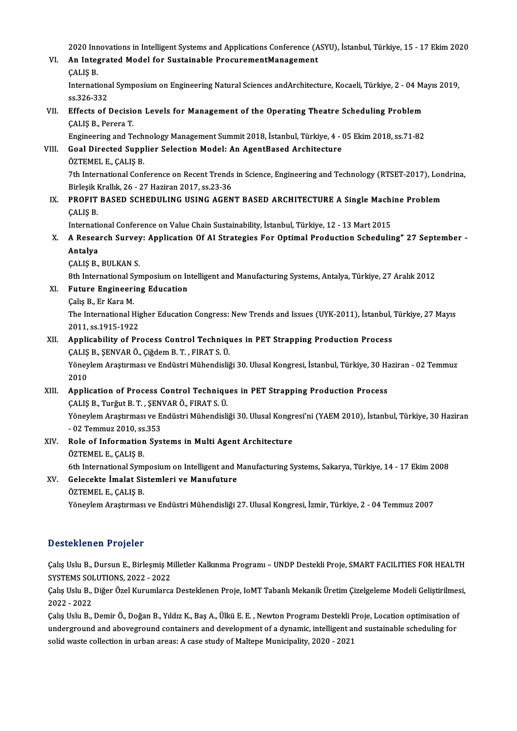2020 Innovations in Intelligent Systems and Applications Conference (ASYU), İstanbul, Türkiye, 15 - 17 Ekim 2020<br>An Integrated Madel for Sustainable PrequementManagement

2020 Innovations in Intelligent Systems and Applications Conference (A<br>VI. An Integrated Model for Sustainable ProcurementManagement 2020 Inn<br>**An Integ<br>ÇALIŞ B.**<br>Internati

An Integrated Model for Sustainable ProcurementManagement<br>ÇALIŞ B.<br>International Symposium on Engineering Natural Sciences andArchitecture, Kocaeli, Türkiye, 2 - 04 Mayıs 2019,<br>20226-222 CALIS B.<br>Internations<br>ss.326-332<br>Effects of l International Symposium on Engineering Natural Sciences and Architecture, Kocaeli, Türkiye, 2 - 04 Management of the Operating Theatre Scheduling Problem<br>VII. Effects of Decision Levels for Management of the Operating Thea

ss.326-332<br>**Effects of Decisic**<br>ÇALIŞ B., Perera T.<br>Engineering and Te Effects of Decision Levels for Management of the Operating Theatre Scheduling Problem<br>CALIS B., Perera T.<br>Engineering and Technology Management Summit 2018, İstanbul, Türkiye, 4 - 05 Ekim 2018, ss.71-82<br>Coal Directed Sunnl

CALIS B., Perera T.<br>Engineering and Technology Management Summit 2018, İstanbul, Türkiye, 4 - 05 Ekim 2018, ss.71-82<br>VIII. Goal Directed Supplier Selection Model: An AgentBased Architecture

## ÖZTEMEL E., ÇALIŞ B.

Goal Directed Supplier Selection Model: An AgentBased Architecture<br>ÖZTEMEL E., ÇALIŞ B.<br>7th International Conference on Recent Trends in Science, Engineering and Technology (RTSET-2017), Londrina,<br>Pirlosik Krallık 26, 27 H ÖZTEMEL E., ÇALIŞ B.<br>7th International Conference on Recent Trends<br>Birleşik Krallık, 26 - 27 Haziran 2017, ss.23-36<br>PROELT RASED SCHEDIU INC USINC ACEN 7th International Conference on Recent Trends in Science, Engineering and Technology (RTSET-2017), Lon<br>Birleşik Krallık, 26 - 27 Haziran 2017, ss.23-36<br>IX. PROFIT BASED SCHEDULING USING AGENT BASED ARCHITECTURE A Single Ma

## Birleşik I<br>PROFIT<br>ÇALIŞ B. PROFIT BASED SCHEDULING USING AGENT BASED ARCHITECTURE A Single Machi<br>CALIS B.<br>International Conference on Value Chain Sustainability, İstanbul, Türkiye, 12 - 13 Mart 2015<br>A Bassarah Suryoyy Annligation Of Al Strategies Fo

International Conference on Value Chain Sustainability, İstanbul, Türkiye, 12 - 13 Mart 2015

# CALIS B.<br>International Conference on Value Chain Sustainability, İstanbul, Türkiye, 12 - 13 Mart 2015<br>X. A Research Survey: Application Of AI Strategies For Optimal Production Scheduling" 27 September -<br>Antalya

ÇALIŞ B., BULKAN S.

8th International Symposium on Intelligent and Manufacturing Systems, Antalya, Türkiye, 27 Aralık 2012 8th International Sy<br>Future Engineeri<br>Çalış B., Er Kara M.<br>The International E

- CALIS B., BULKAN S.<br>8th International Symposium on In<br>XI. Future Engineering Education
	-

Çalış B., Er Kara M.<br>The International Higher Education Congress: New Trends and Issues (UYK-2011), İstanbul, Türkiye, 27 Mayıs 2011, ss.1915-1922

## XII. Applicability of Process Control Techniques in PET Strapping Production Process 2011, ss.1915-1922<br><mark>Applicability of Process Control Techniq</mark>u<br>ÇALIŞ B., ŞENVAR Ö., Çiğdem B. T. , FIRAT S. Ü.<br>Yönevlem Arastuması ve Endüstri Mühandisliğ

Yöneylem Araştırması ve Endüstri Mühendisliği 30. Ulusal Kongresi, İstanbul, Türkiye, 30 Haziran - 02 Temmuz<br>2010 CALIŞ<br>Yöney<br>2010

## XIII. Application of Process Control Techniques in PET Strapping Production Process 2010<br>Application of Process Control Techniqu<br>ÇALIŞ B., Turğut B. T. , ŞENVAR Ö., FIRAT S. Ü.<br>Yönevlem Arastırması ve Endüstri Mühandisli Yöneylem Araştırması ve Endüstri Mühendisliği 30. Ulusal Kongresi'ni (YAEM 2010), İstanbul, Türkiye, 30 Haziran<br>- 02 Temmuz 2010, ss.353 CALIS B., Turğut B. T. , SEN<br>Yöneylem Araştırması ve E.<br>- 02 Temmuz 2010, ss.353<br>Bele ef Information Sus

## Yöneylem Araştırması ve Endüstri Mühendisliği 30. Ulusal Kongr<br>- 02 Temmuz 2010, ss.353<br>XIV. Role of Information Systems in Multi Agent Architecture<br>- ÖZTEMELE CALIS P - 02 Temmuz 2010, ss<br>Role of Information<br>ÖZTEMEL E., ÇALIŞ B.<br>Eth International Sum ÖZTEMEL E., ÇALIŞ B.<br>6th International Symposium on Intelligent and Manufacturing Systems, Sakarya, Türkiye, 14 - 17 Ekim 2008 ÖZTEMEL E., ÇALIŞ B.<br>6th International Symposium on Intelligent and N<br>XV. Gelecekte İmalat Sistemleri ve Manufuture

## 6th International Sym<br>Gelecekte İmalat Sis<br>ÖZTEMEL E., ÇALIŞ B.<br>Vänevlem Anatuması

ÖZTEMEL E., ÇALIŞ B.<br>Yöneylem Araştırması ve Endüstri Mühendisliği 27. Ulusal Kongresi, İzmir, Türkiye, 2 - 04 Temmuz 2007

### Desteklenen Projeler

Desteklenen Projeler<br>Çalış Uslu B., Dursun E., Birleşmiş Milletler Kalkınma Programı – UNDP Destekli Proje, SMART FACILITIES FOR HEALTH<br>SYSTEMS SOLUTIONS 2022, 2022 S SSCOMONON Y YOJOU<br>Calış Uslu B., Dursun E., Birleşmiş M<br>SYSTEMS SOLUTIONS, 2022 - 2022<br>Calış Halu B., Diğer Özel Kurumlarga Çalış Uslu B., Dursun E., Birleşmiş Milletler Kalkınma Programı – UNDP Destekli Proje, SMART FACILITIES FOR HEALTH<br>SYSTEMS SOLUTIONS, 2022 - 2022<br>Çalış Uslu B., Diğer Özel Kurumlarca Desteklenen Proje, IoMT Tabanlı Mekanik

SYSTEMS SOLUTIONS, 2022 - 2022<br>Çalış Uslu B., Diğer Özel Kurumlarcı<br>2022 - 2022 Çalış Uslu B., Diğer Özel Kurumlarca Desteklenen Proje, IoMT Tabanlı Mekanik Üretim Çizelgeleme Modeli Geliştirilmesi,

Çalış Uslu B., Demir Ö., Doğan B., Yıldız K., Baş A., Ülkü E. E. , Newton Programı Destekli Proje, Location optimisation of underground and aboveground containers and development of a dynamic, intelligent and sustainable s underground and aboveground containers and development of a dynamic, intelligent and sustainable scheduling for